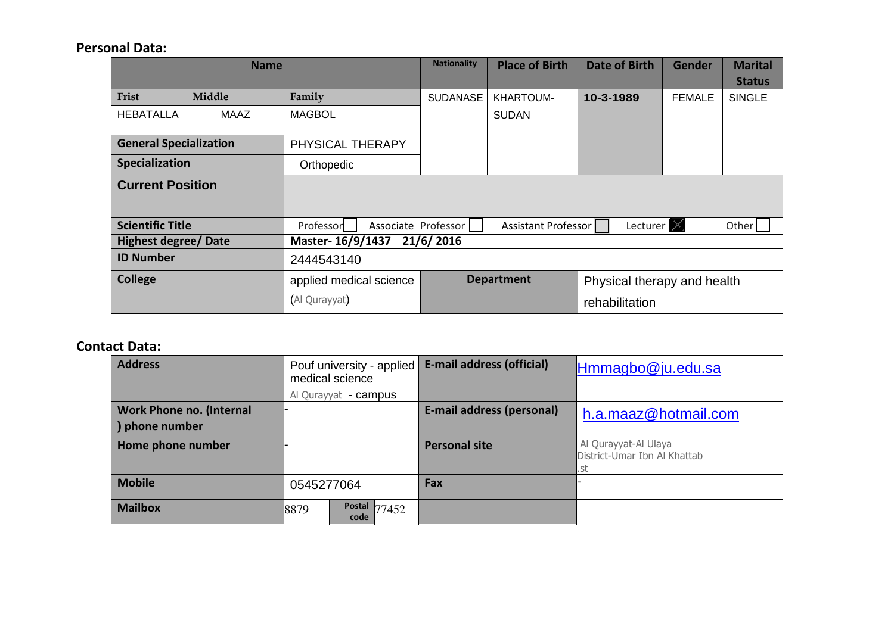#### **Personal Data:**

|                               | <b>Name</b> |                                  | <b>Nationality</b> | <b>Place of Birth</b> | Date of Birth               | <b>Gender</b> | <b>Marital</b><br><b>Status</b> |
|-------------------------------|-------------|----------------------------------|--------------------|-----------------------|-----------------------------|---------------|---------------------------------|
| Frist                         | Middle      | Family                           | <b>SUDANASE</b>    | KHARTOUM-             | 10-3-1989                   | <b>FEMALE</b> | <b>SINGLE</b>                   |
| <b>HEBATALLA</b>              | MAAZ        | <b>MAGBOL</b>                    |                    | <b>SUDAN</b>          |                             |               |                                 |
| <b>General Specialization</b> |             | PHYSICAL THERAPY                 |                    |                       |                             |               |                                 |
| Specialization                |             | Orthopedic                       |                    |                       |                             |               |                                 |
| <b>Current Position</b>       |             |                                  |                    |                       |                             |               |                                 |
| <b>Scientific Title</b>       |             | Professor<br>Associate Professor |                    | Assistant Professor   | Lecturer X                  |               | Other                           |
| <b>Highest degree/ Date</b>   |             | Master-16/9/1437                 | 21/6/2016          |                       |                             |               |                                 |
| <b>ID Number</b>              |             | 2444543140                       |                    |                       |                             |               |                                 |
| <b>College</b>                |             | applied medical science          | <b>Department</b>  |                       | Physical therapy and health |               |                                 |
|                               |             | (Al Qurayyat)<br>rehabilitation  |                    |                       |                             |               |                                 |

### **Contact Data:**

| <b>Address</b>                                    | Pouf university - applied<br>medical science | E-mail address (official) | Hmmagbo@ju.edu.sa                                           |
|---------------------------------------------------|----------------------------------------------|---------------------------|-------------------------------------------------------------|
|                                                   | Al Qurayyat - campus                         |                           |                                                             |
| <b>Work Phone no. (Internal</b><br>) phone number |                                              | E-mail address (personal) | h.a.maaz@hotmail.com                                        |
| Home phone number                                 |                                              | <b>Personal site</b>      | Al Qurayyat-Al Ulaya<br>District-Umar Ibn Al Khattab<br>.st |
| <b>Mobile</b>                                     | 0545277064                                   | Fax                       |                                                             |
| <b>Mailbox</b>                                    | <b>Postal 77452</b><br>8879<br>code          |                           |                                                             |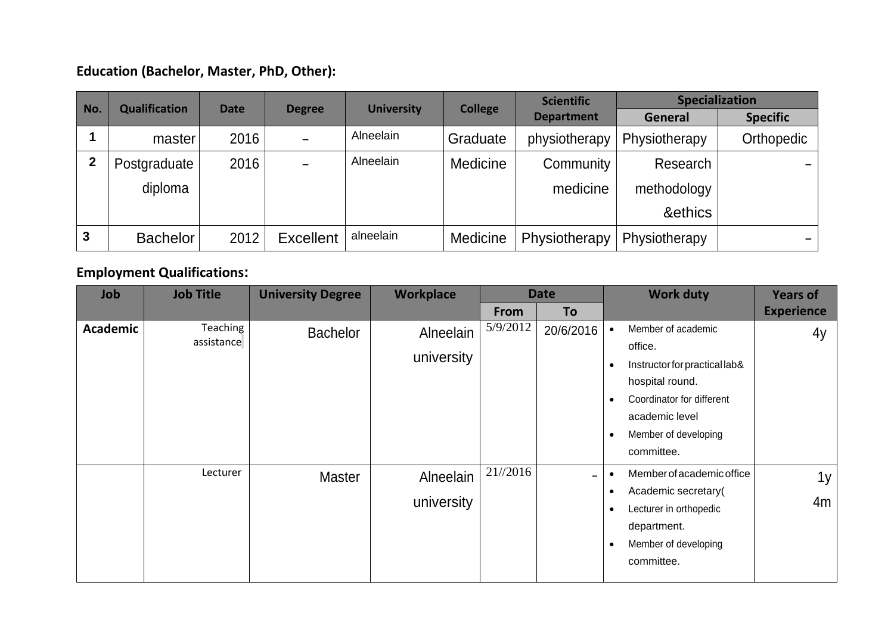## **Education (Bachelor, Master, PhD, Other):**

| No.         | <b>Qualification</b> | <b>Date</b> |                  | <b>University</b> |                | <b>Scientific</b> | <b>Specialization</b> |                 |
|-------------|----------------------|-------------|------------------|-------------------|----------------|-------------------|-----------------------|-----------------|
|             |                      |             | <b>Degree</b>    |                   | <b>College</b> | <b>Department</b> | General               | <b>Specific</b> |
|             | master               | 2016        |                  | Alneelain         | Graduate       | physiotherapy     | Physiotherapy         | Orthopedic      |
| $\mathbf 2$ | Postgraduate         | 2016        |                  | Alneelain         | Medicine       | Community         | Research              |                 |
|             | diploma              |             |                  |                   |                | medicine          | methodology           |                 |
|             |                      |             |                  |                   |                |                   | &ethics               |                 |
| 3           | <b>Bachelor</b>      | 2012        | <b>Excellent</b> | alneelain         | Medicine       | Physiotherapy     | Physiotherapy         |                 |

## **Employment Qualifications:**

| Job             | <b>Job Title</b>       | <b>University Degree</b> | <b>Workplace</b>        |          | <b>Date</b>    | <b>Work duty</b>                                                                                                                                                                                              | <b>Years of</b>   |
|-----------------|------------------------|--------------------------|-------------------------|----------|----------------|---------------------------------------------------------------------------------------------------------------------------------------------------------------------------------------------------------------|-------------------|
|                 |                        |                          |                         | From     | To             |                                                                                                                                                                                                               | <b>Experience</b> |
| <b>Academic</b> | Teaching<br>assistance | <b>Bachelor</b>          | Alneelain<br>university | 5/9/2012 | 20/6/2016      | Member of academic<br>office.<br>Instructor for practical lab&<br>$\bullet$<br>hospital round.<br>Coordinator for different<br>$\bullet$<br>academic level<br>Member of developing<br>$\bullet$<br>committee. | 4y                |
|                 | Lecturer               | <b>Master</b>            | Alneelain<br>university | 21//2016 | $\blacksquare$ | Member of academic office<br>Academic secretary(<br>$\bullet$<br>Lecturer in orthopedic<br>$\bullet$<br>department.<br>Member of developing<br>$\bullet$<br>committee.                                        | 1y<br>4m          |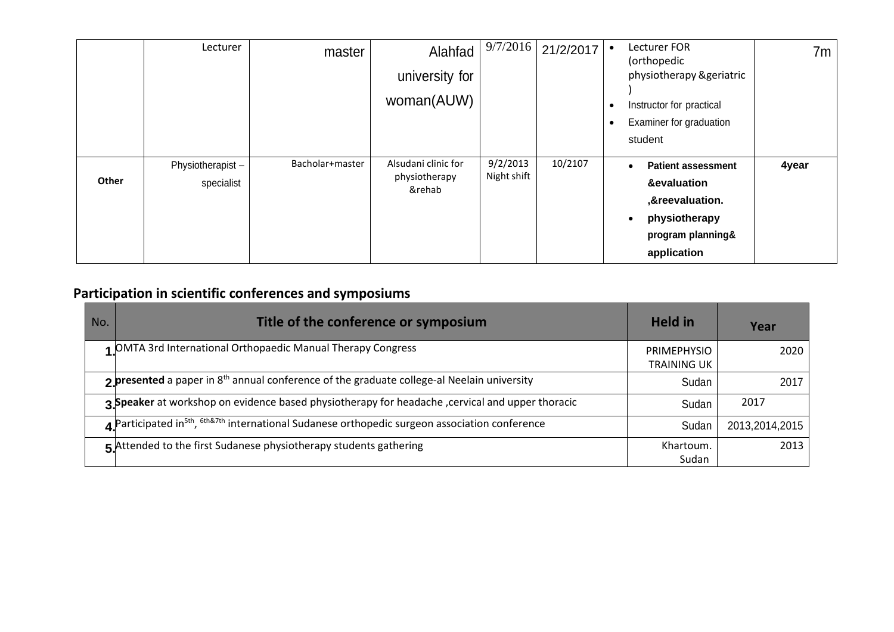|       | Lecturer                       | master          | Alahfad<br>university for<br>woman(AUW)        | 9/7/2016                | 21/2/2017 | $\bullet$<br>- 0<br>- 0 | Lecturer FOR<br>(orthopedic<br>physiotherapy &geriatric<br>Instructor for practical<br>Examiner for graduation<br>student                  | 7m    |
|-------|--------------------------------|-----------------|------------------------------------------------|-------------------------|-----------|-------------------------|--------------------------------------------------------------------------------------------------------------------------------------------|-------|
| Other | Physiotherapist-<br>specialist | Bacholar+master | Alsudani clinic for<br>physiotherapy<br>&rehab | 9/2/2013<br>Night shift | 10/2107   |                         | <b>Patient assessment</b><br>$\bullet$<br>&evaluation<br>,&reevaluation.<br>physiotherapy<br>$\bullet$<br>program planning&<br>application | 4year |

# **Participation in scientific conferences and symposiums**

| No. | Title of the conference or symposium                                                                                              | <b>Held in</b>                           | Year           |
|-----|-----------------------------------------------------------------------------------------------------------------------------------|------------------------------------------|----------------|
|     | 1 OMTA 3rd International Orthopaedic Manual Therapy Congress                                                                      | <b>PRIMEPHYSIO</b><br><b>TRAINING UK</b> | 2020           |
|     | $2$ presented a paper in 8 <sup>th</sup> annual conference of the graduate college-al Neelain university                          | Sudan                                    | 2017           |
|     | 3 Speaker at workshop on evidence based physiotherapy for headache , cervical and upper thoracic                                  | Sudan                                    | 2017           |
|     | $\Delta$ Participated in <sup>5th</sup> , <sup>6th&amp;7th</sup> international Sudanese orthopedic surgeon association conference | Sudan                                    | 2013,2014,2015 |
|     | $\overline{5}$ Attended to the first Sudanese physiotherapy students gathering                                                    | Khartoum.<br>Sudan                       | 2013           |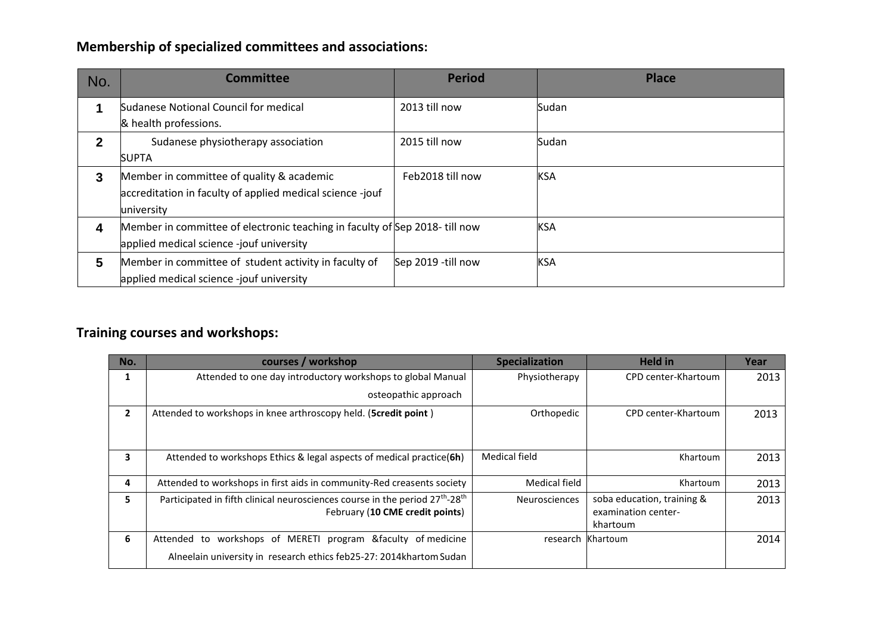## **Membership of specialized committees and associations:**

| No.          | <b>Committee</b>                                                                                                       | <b>Period</b>      | <b>Place</b> |
|--------------|------------------------------------------------------------------------------------------------------------------------|--------------------|--------------|
|              | Sudanese Notional Council for medical                                                                                  | 2013 till now      | Sudan        |
| $\mathbf{2}$ | & health professions.<br>Sudanese physiotherapy association                                                            | 2015 till now      | Sudan        |
|              | <b>SUPTA</b>                                                                                                           |                    |              |
| 3            | Member in committee of quality & academic<br>accreditation in faculty of applied medical science -jouf<br>university   | Feb2018 till now   | <b>KSA</b>   |
| 4            | Member in committee of electronic teaching in faculty of Sep 2018-till now<br>applied medical science -jouf university |                    | <b>KSA</b>   |
| 5            | Member in committee of student activity in faculty of<br>applied medical science -jouf university                      | Sep 2019 -till now | <b>KSA</b>   |

# **Training courses and workshops:**

| No.            | courses / workshop                                                                                   | <b>Specialization</b> | <b>Held in</b>                  | Year |
|----------------|------------------------------------------------------------------------------------------------------|-----------------------|---------------------------------|------|
| 1              | Attended to one day introductory workshops to global Manual                                          | Physiotherapy         | CPD center-Khartoum             | 2013 |
|                | osteopathic approach                                                                                 |                       |                                 |      |
| $\overline{2}$ | Attended to workshops in knee arthroscopy held. (Scredit point)                                      | Orthopedic            | CPD center-Khartoum             | 2013 |
|                |                                                                                                      |                       |                                 |      |
| 3              | Attended to workshops Ethics & legal aspects of medical practice(6h)                                 | Medical field         | Khartoum                        | 2013 |
| 4              | Attended to workshops in first aids in community-Red creasents society                               | <b>Medical field</b>  | Khartoum                        | 2013 |
| 5.             | Participated in fifth clinical neurosciences course in the period 27 <sup>th</sup> -28 <sup>th</sup> | <b>Neurosciences</b>  | soba education, training &      | 2013 |
|                | February (10 CME credit points)                                                                      |                       | examination center-<br>khartoum |      |
| 6              | Attended to workshops of MERETI program &faculty of medicine                                         | research              | Khartoum                        | 2014 |
|                | Alneelain university in research ethics feb25-27: 2014khartom Sudan                                  |                       |                                 |      |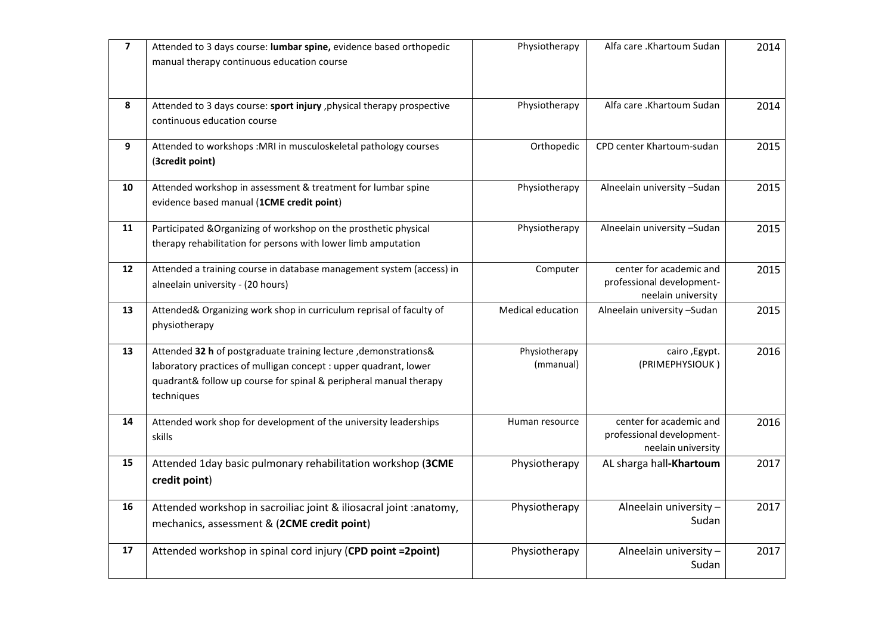| $\overline{7}$ | Attended to 3 days course: lumbar spine, evidence based orthopedic<br>manual therapy continuous education course                                                                                                        | Physiotherapy              | Alfa care .Khartoum Sudan                                                  | 2014 |
|----------------|-------------------------------------------------------------------------------------------------------------------------------------------------------------------------------------------------------------------------|----------------------------|----------------------------------------------------------------------------|------|
| 8              | Attended to 3 days course: sport injury, physical therapy prospective<br>continuous education course                                                                                                                    | Physiotherapy              | Alfa care .Khartoum Sudan                                                  | 2014 |
| 9              | Attended to workshops : MRI in musculoskeletal pathology courses<br>(3credit point)                                                                                                                                     | Orthopedic                 | CPD center Khartoum-sudan                                                  | 2015 |
| 10             | Attended workshop in assessment & treatment for lumbar spine<br>evidence based manual (1CME credit point)                                                                                                               | Physiotherapy              | Alneelain university -Sudan                                                | 2015 |
| 11             | Participated & Organizing of workshop on the prosthetic physical<br>therapy rehabilitation for persons with lower limb amputation                                                                                       | Physiotherapy              | Alneelain university -Sudan                                                | 2015 |
| 12             | Attended a training course in database management system (access) in<br>alneelain university - (20 hours)                                                                                                               | Computer                   | center for academic and<br>professional development-<br>neelain university | 2015 |
| 13             | Attended& Organizing work shop in curriculum reprisal of faculty of<br>physiotherapy                                                                                                                                    | Medical education          | Alneelain university -Sudan                                                | 2015 |
| 13             | Attended 32 h of postgraduate training lecture , demonstrations&<br>laboratory practices of mulligan concept : upper quadrant, lower<br>quadrant& follow up course for spinal & peripheral manual therapy<br>techniques | Physiotherapy<br>(mmanual) | cairo, Egypt.<br>(PRIMEPHYSIOUK)                                           | 2016 |
| 14             | Attended work shop for development of the university leaderships<br>skills                                                                                                                                              | Human resource             | center for academic and<br>professional development-<br>neelain university | 2016 |
| 15             | Attended 1day basic pulmonary rehabilitation workshop (3CME<br>credit point)                                                                                                                                            | Physiotherapy              | AL sharga hall-Khartoum                                                    | 2017 |
| 16             | Attended workshop in sacroiliac joint & iliosacral joint :anatomy,<br>mechanics, assessment & (2CME credit point)                                                                                                       | Physiotherapy              | Alneelain university -<br>Sudan                                            | 2017 |
| 17             | Attended workshop in spinal cord injury (CPD point = 2 point)                                                                                                                                                           | Physiotherapy              | Alneelain university -<br>Sudan                                            | 2017 |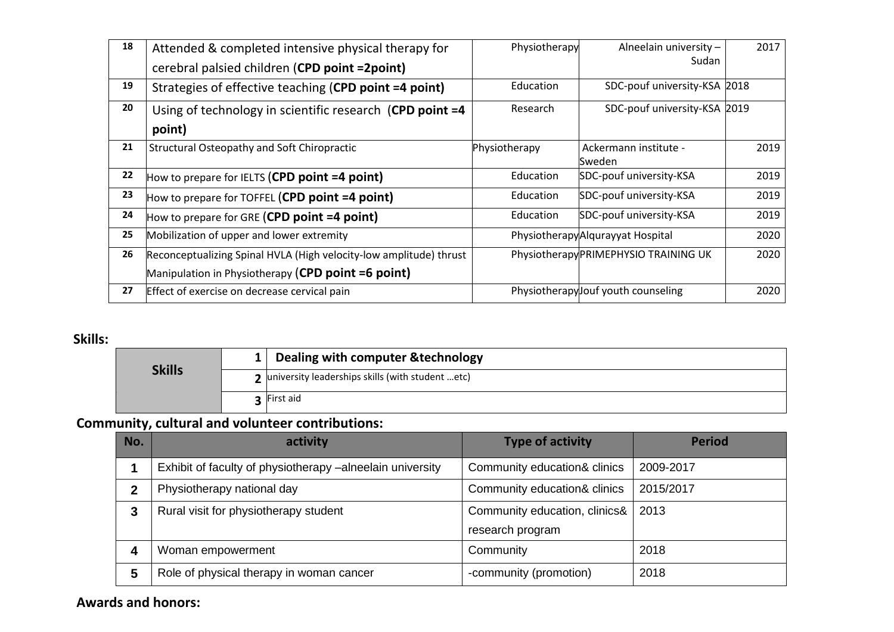| 18 | Attended & completed intensive physical therapy for                | Physiotherapy | Alneelain university -                | 2017 |
|----|--------------------------------------------------------------------|---------------|---------------------------------------|------|
|    | cerebral palsied children (CPD point = 2 point)                    |               | Sudan                                 |      |
| 19 | Strategies of effective teaching (CPD point =4 point)              | Education     | SDC-pouf university-KSA 2018          |      |
| 20 | Using of technology in scientific research (CPD point =4           | Research      | SDC-pouf university-KSA 2019          |      |
|    | point)                                                             |               |                                       |      |
| 21 | Structural Osteopathy and Soft Chiropractic                        | Physiotherapy | Ackermann institute -                 | 2019 |
|    |                                                                    |               | Sweden                                |      |
| 22 | How to prepare for IELTS (CPD point =4 point)                      | Education     | SDC-pouf university-KSA               | 2019 |
| 23 | How to prepare for TOFFEL (CPD point =4 point)                     | Education     | SDC-pouf university-KSA               | 2019 |
| 24 | How to prepare for GRE (CPD point =4 point)                        | Education     | SDC-pouf university-KSA               | 2019 |
| 25 | Mobilization of upper and lower extremity                          |               | PhysiotherapyAlqurayyat Hospital      | 2020 |
| 26 | Reconceptualizing Spinal HVLA (High velocity-low amplitude) thrust |               | Physiotherapy PRIMEPHYSIO TRAINING UK | 2020 |
|    | Manipulation in Physiotherapy (CPD point =6 point)                 |               |                                       |      |
| 27 | Effect of exercise on decrease cervical pain                       |               | Physiotherapylouf youth counseling    | 2020 |

### **Skills:**

| <b>Skills</b> | 1   Dealing with computer & technology             |
|---------------|----------------------------------------------------|
|               | 2 university leaderships skills (with student etc) |
|               | <b>3</b> First aid                                 |

# **Community, cultural and volunteer contributions:**

| No.         | activity                                                  | <b>Type of activity</b>       | <b>Period</b> |
|-------------|-----------------------------------------------------------|-------------------------------|---------------|
|             | Exhibit of faculty of physiotherapy -alneelain university | Community education& clinics  | 2009-2017     |
| $\mathbf 2$ | Physiotherapy national day                                | Community education& clinics  | 2015/2017     |
| 3           | Rural visit for physiotherapy student                     | Community education, clinics& | 2013          |
|             |                                                           | research program              |               |
| 4           | Woman empowerment                                         | Community                     | 2018          |
| 5           | Role of physical therapy in woman cancer                  | -community (promotion)        | 2018          |

### **Awards and honors:**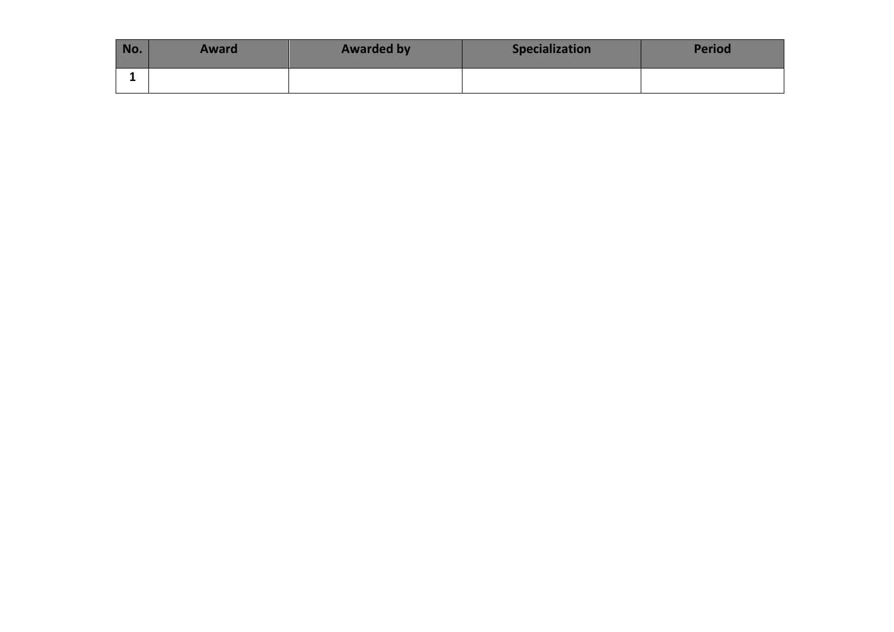| No. | <b>Award</b> | <b>Awarded by</b> | <b>Specialization</b> | Period |
|-----|--------------|-------------------|-----------------------|--------|
|     |              |                   |                       |        |